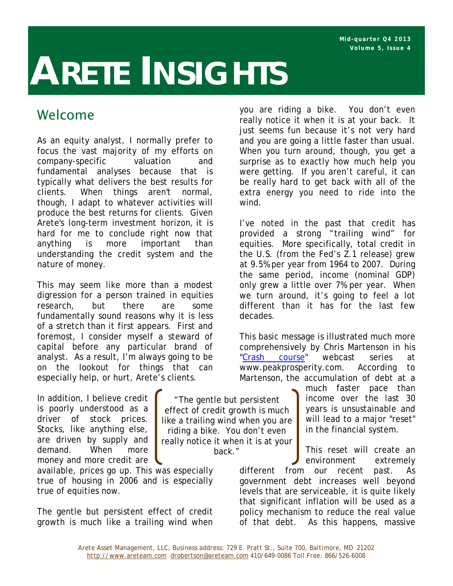# **ARETE INSIGHTS**

# Welcome

As an equity analyst, I normally prefer to focus the vast majority of my efforts on company-specific valuation and fundamental analyses because that is typically what delivers the best results for clients. When things aren't normal, though, I adapt to whatever activities will produce the best returns for clients. Given Arete's long-term investment horizon, it is hard for me to conclude right now that anything is more important than understanding the credit system and the nature of money.

This may seem like more than a modest digression for a person trained in equities research, but there are some fundamentally sound reasons why it is less of a stretch than it first appears. First and foremost, I consider myself a steward of capital before any particular brand of analyst. As a result, I'm always going to be on the lookout for things that can especially help, or hurt, Arete's clients.

In addition, I believe credit is poorly understood as a driver of stock prices. Stocks, like anything else, are driven by supply and demand. When more money and more credit are

available, prices go up. This was especially true of housing in 2006 and is especially true of equities now.

The gentle but persistent effect of credit growth is much like a trailing wind when

you are riding a bike. You don't even really notice it when it is at your back. It just seems fun because it's not very hard and you are going a little faster than usual. When you turn around, though, you get a surprise as to exactly how much help you were getting. If you aren't careful, it can be really hard to get back with all of the extra energy you need to ride into the wind.

I've noted in the past that credit has provided a strong "trailing wind" for equities. More specifically, total credit in the U.S. (from the Fed's Z.1 release) grew at 9.5% per year from 1964 to 2007. During the same period, income (nominal GDP) only grew a little over 7% per year. When we turn around, it's going to feel a lot different than it has for the last few decades.

This basic message is illustrated much more comprehensively by Chris Martenson in his "Crash course" webcast series at www.peakprosperity.com. According to Martenson, the accumulation of debt at a

> much faster pace than income over the last 30 years is unsustainable and will lead to a major "reset" in the financial system.

> This reset will create an environment extremely

different from our recent past. As government debt increases well beyond levels that are serviceable, it is quite likely that significant inflation will be used as a policy mechanism to reduce the real value of that debt. As this happens, massive

"The gentle but persistent effect of credit growth is much like a trailing wind when you are riding a bike. You don't even really notice it when it is at your back."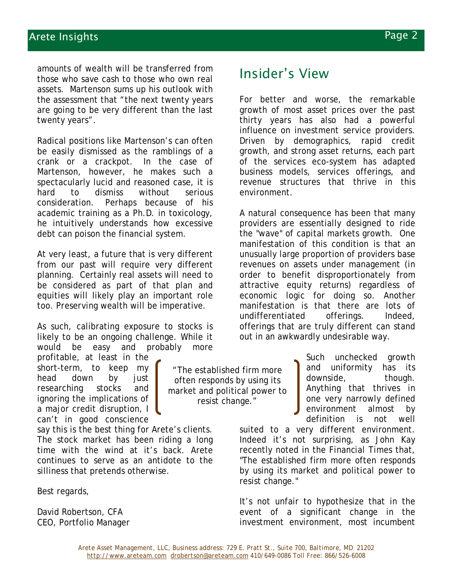amounts of wealth will be transferred from those who save cash to those who own real assets. Martenson sums up his outlook with the assessment that "the next twenty years are going to be very different than the last twenty years".

Radical positions like Martenson's can often be easily dismissed as the ramblings of a crank or a crackpot. In the case of Martenson, however, he makes such a spectacularly lucid and reasoned case, it is hard to dismiss without serious consideration. Perhaps because of his academic training as a Ph.D. in toxicology, he intuitively understands how excessive debt can poison the financial system.

At very least, a future that is very different from our past will require very different planning. Certainly real assets will need to be considered as part of that plan and equities will likely play an important role too. *Preserving* wealth will be imperative.

As such, calibrating exposure to stocks is likely to be an ongoing challenge. While it would be easy and probably more

profitable, at least in the short-term, to keep my head down by just researching stocks and ignoring the implications of a major credit disruption, I can't in good conscience

say this is the best thing for Arete's clients. The stock market has been riding a long time with the wind at it's back. Arete continues to serve as an antidote to the silliness that pretends otherwise.

Best regards,

David Robertson, CFA CEO, Portfolio Manager

"The established firm more often responds by using its market and political power to resist change."

## Insider's View

For better and worse, the remarkable growth of most asset prices over the past thirty years has also had a powerful influence on investment service providers. Driven by demographics, rapid credit growth, and strong asset returns, each part of the services eco-system has adapted business models, services offerings, and revenue structures that thrive in this environment.

A natural consequence has been that many providers are essentially designed to ride the "wave" of capital markets growth. One manifestation of this condition is that an unusually large proportion of providers base revenues on assets under management (in order to benefit disproportionately from attractive equity returns) regardless of economic logic for doing so. Another manifestation is that there are lots of undifferentiated offerings. Indeed, offerings that are truly different can stand out in an awkwardly undesirable way.

> Such unchecked growth and uniformity has its downside, though. Anything that thrives in one very narrowly defined environment almost by definition is not well

suited to a very different environment. Indeed it's not surprising, as John Kay recently noted in the *Financial Times* that, "The established firm more often responds by using its market and political power to resist change."

It's not unfair to hypothesize that in the event of a significant change in the investment environment, most incumbent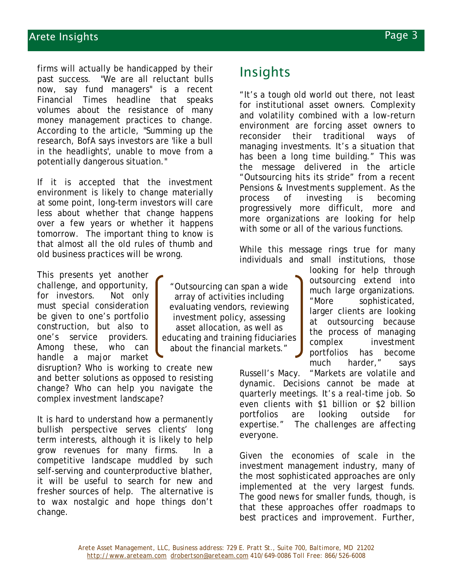## Arete Insights Page 3

firms will actually be handicapped by their past success. "We are all reluctant bulls now, say fund managers" is a recent *Financial Times* headline that speaks volumes about the resistance of many money management practices to change. According to the article, "Summing up the research, BofA says investors are 'like a bull in the headlights', unable to move from a potentially dangerous situation."

If it is accepted that the investment environment is likely to change materially at some point, long-term investors will care less about whether that change happens over a few years or whether it happens tomorrow. The important thing to know is that almost all the old rules of thumb and old business practices will be wrong.

This presents yet another challenge, and opportunity, for investors. Not only must special consideration be given to one's portfolio construction, but also to one's service providers. Among these, who can handle a major market

disruption? Who is working to create new and better solutions as opposed to resisting change? Who can help you navigate the complex investment landscape?

It is hard to understand how a permanently bullish perspective serves clients' long term interests, although it is likely to help grow revenues for many firms. In a competitive landscape muddled by such self-serving and counterproductive blather, it will be useful to search for new and fresher sources of help. The alternative is to wax nostalgic and hope things don't change.

## Insights

"It's a tough old world out there, not least for institutional asset owners. Complexity and volatility combined with a low-return environment are forcing asset owners to reconsider their traditional ways of managing investments. It's a situation that has been a long time building." This was the message delivered in the article "Outsourcing hits its stride" from a recent *Pensions & Investments* supplement. As the process of investing is becoming progressively more difficult, more and more organizations are looking for help with some or all of the various functions.

While this message rings true for many individuals and small institutions, those

"Outsourcing can span a wide array of activities including evaluating vendors, reviewing investment policy, assessing asset allocation, as well as educating and training fiduciaries about the financial markets."

looking for help through outsourcing extend into much large organizations. "More sophisticated, larger clients are looking at outsourcing because the process of managing complex investment portfolios has become much harder," says

Russell's Macy. "Markets are volatile and dynamic. Decisions cannot be made at quarterly meetings. It's a real-time job. So even clients with \$1 billion or \$2 billion portfolios are looking outside for expertise." The challenges are affecting everyone.

Given the economies of scale in the investment management industry, many of the most sophisticated approaches are only implemented at the very largest funds. The good news for smaller funds, though, is that these approaches offer roadmaps to best practices and improvement. Further,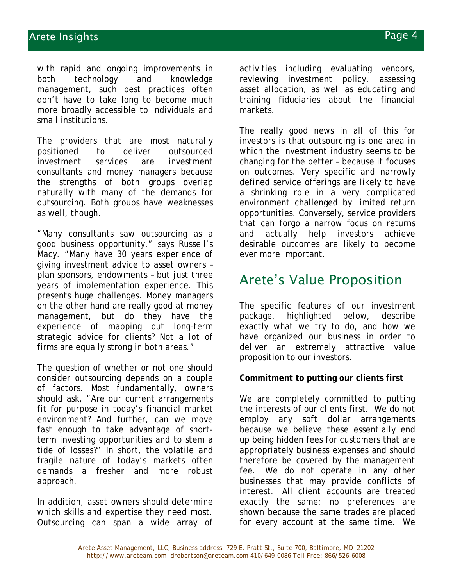with rapid and ongoing improvements in both technology and knowledge management, such best practices often don't have to take long to become much more broadly accessible to individuals and small institutions.

The providers that are most naturally positioned to deliver outsourced investment services are investment consultants and money managers because the strengths of both groups overlap naturally with many of the demands for outsourcing. Both groups have weaknesses as well, though.

"Many consultants saw outsourcing as a good business opportunity," says Russell's Macy. "Many have 30 years experience of giving investment advice to asset owners – plan sponsors, endowments – but just three years of implementation experience. This presents huge challenges. Money managers on the other hand are really good at money management, but do they have the experience of mapping out long-term strategic advice for clients? Not a lot of firms are equally strong in both areas."

The question of whether or not one should consider outsourcing depends on a couple of factors. Most fundamentally, owners should ask, "Are our current arrangements fit for purpose in today's financial market environment? And further, can we move fast enough to take advantage of shortterm investing opportunities and to stem a tide of losses?" In short, the volatile and fragile nature of today's markets often demands a fresher and more robust approach.

In addition, asset owners should determine which skills and expertise they need most. Outsourcing can span a wide array of

activities including evaluating vendors, reviewing investment policy, assessing asset allocation, as well as educating and training fiduciaries about the financial markets.

The really good news in all of this for investors is that outsourcing is one area in which the investment industry seems to be changing for the better – because it focuses on outcomes. Very specific and narrowly defined service offerings are likely to have a shrinking role in a very complicated environment challenged by limited return opportunities. Conversely, service providers that can forgo a narrow focus on returns and actually help investors achieve desirable outcomes are likely to become ever more important.

## Arete's Value Proposition

The specific features of our investment package, highlighted below, describe exactly what we try to do, and how we have organized our business in order to deliver an extremely attractive value proposition to our investors.

### **Commitment to putting our clients first**

We are completely committed to putting the interests of our clients first. We do not employ any soft dollar arrangements because we believe these essentially end up being hidden fees for customers that are appropriately business expenses and should therefore be covered by the management fee. We do not operate in any other businesses that may provide conflicts of interest. All client accounts are treated exactly the same; no preferences are shown because the same trades are placed for every account at the same time. We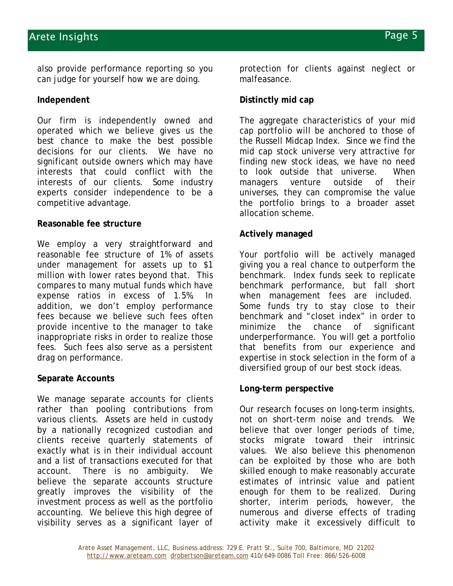also provide performance reporting so you can judge for yourself how we are doing.

#### **Independent**

Our firm is independently owned and operated which we believe gives us the best chance to make the best possible decisions for our clients. We have no significant outside owners which may have interests that could conflict with the interests of our clients. Some industry experts consider independence to be a competitive advantage.

#### **Reasonable fee structure**

We employ a very straightforward and reasonable fee structure of 1% of assets under management for assets up to \$1 million with lower rates beyond that. This compares to many mutual funds which have expense ratios in excess of 1.5%. In addition, we don't employ performance fees because we believe such fees often provide incentive to the manager to take inappropriate risks in order to realize those fees. Such fees also serve as a persistent drag on performance.

#### **Separate Accounts**

We manage separate accounts for clients rather than pooling contributions from various clients. Assets are held in custody by a nationally recognized custodian and clients receive quarterly statements of exactly what is in their individual account and a list of transactions executed for that account. There is no ambiguity. We believe the separate accounts structure greatly improves the visibility of the investment process as well as the portfolio accounting. We believe this high degree of visibility serves as a significant layer of

protection for clients against neglect or malfeasance.

#### **Distinctly mid cap**

The aggregate characteristics of your mid cap portfolio will be anchored to those of the Russell Midcap Index. Since we find the mid cap stock universe very attractive for finding new stock ideas, we have no need to look outside that universe. When managers venture outside of their universes, they can compromise the value the portfolio brings to a broader asset allocation scheme.

#### **Actively managed**

Your portfolio will be actively managed giving you a real chance to outperform the benchmark. Index funds seek to replicate benchmark performance, but fall short when management fees are included. Some funds try to stay close to their benchmark and "closet index" in order to minimize the chance of significant underperformance. You will get a portfolio that benefits from our experience and expertise in stock selection in the form of a diversified group of our best stock ideas.

#### **Long-term perspective**

Our research focuses on long-term insights, not on short-term noise and trends. We believe that over longer periods of time, stocks migrate toward their intrinsic values. We also believe this phenomenon can be exploited by those who are both skilled enough to make reasonably accurate estimates of intrinsic value and patient enough for them to be realized. During shorter, interim periods, however, the numerous and diverse effects of trading activity make it excessively difficult to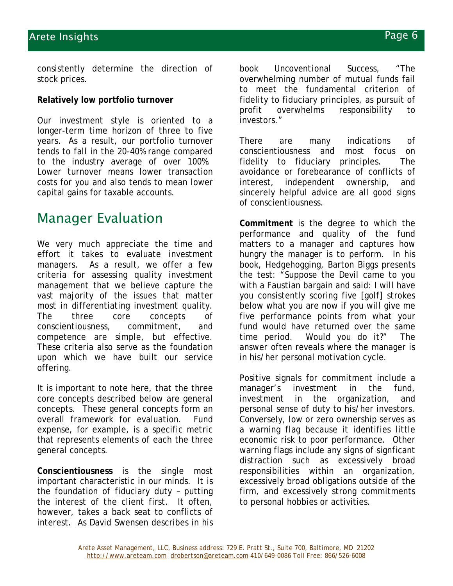consistently determine the direction of stock prices.

#### **Relatively low portfolio turnover**

Our investment style is oriented to a longer-term time horizon of three to five years. As a result, our portfolio turnover tends to fall in the 20-40% range compared to the industry average of over 100%. Lower turnover means lower transaction costs for you and also tends to mean lower capital gains for taxable accounts.

# Manager Evaluation

We very much appreciate the time and effort it takes to evaluate investment managers. As a result, we offer a few criteria for assessing quality investment management that we believe capture the vast majority of the issues that matter most in differentiating investment quality. The three core concepts of conscientiousness, commitment, and competence are simple, but effective. These criteria also serve as the foundation upon which we have built our service offering.

It is important to note here, that the three core concepts described below are general concepts. These general concepts form an overall framework for evaluation. Fund expense, for example, is a specific metric that represents elements of each the three general concepts.

**Conscientiousness** is the single most important characteristic in our minds. It is the foundation of fiduciary duty – putting the interest of the client first. It often, however, takes a back seat to conflicts of interest. As David Swensen describes in his

book *Uncoventional Success*, "The overwhelming number of mutual funds fail to meet the fundamental criterion of fidelity to fiduciary principles, as pursuit of profit overwhelms responsibility to investors."

There are many indications of conscientiousness and most focus on fidelity to fiduciary principles. The avoidance or forebearance of conflicts of interest, independent ownership, and sincerely helpful advice are all good signs of conscientiousness.

**Commitment** is the degree to which the performance and quality of the fund matters to a manager and captures how hungry the manager is to perform. In his book, *Hedgehogging*, Barton Biggs presents the test: "Suppose the Devil came to you with a Faustian bargain and said: I will have you consistently scoring five [golf] strokes below what you are now if you will give me five performance points from what your fund would have returned over the same time period. Would you do it?" The answer often reveals where the manager is in his/her personal motivation cycle.

Positive signals for commitment include a manager's investment in the fund, investment in the organization, and personal sense of duty to his/her investors. Conversely, low or zero ownership serves as a warning flag because it identifies little economic risk to poor performance. Other warning flags include any signs of signficant distraction such as excessively broad responsibilities within an organization, excessively broad obligations outside of the firm, and excessively strong commitments to personal hobbies or activities.